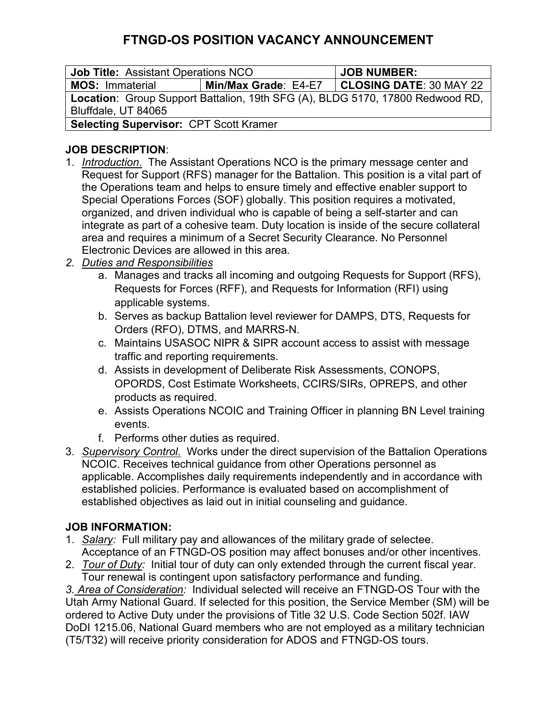# **FTNGD-OS POSITION VACANCY ANNOUNCEMENT**

| <b>Job Title: Assistant Operations NCO</b>                                    |                      | <b>JOB NUMBER:</b>      |
|-------------------------------------------------------------------------------|----------------------|-------------------------|
| <b>MOS: Immaterial</b>                                                        | Min/Max Grade: E4-E7 | CLOSING DATE: 30 MAY 22 |
| Location: Group Support Battalion, 19th SFG (A), BLDG 5170, 17800 Redwood RD, |                      |                         |
| Bluffdale, UT 84065                                                           |                      |                         |
| <b>Selecting Supervisor: CPT Scott Kramer</b>                                 |                      |                         |

### **JOB DESCRIPTION**:

- 1. *Introduction*. The Assistant Operations NCO is the primary message center and Request for Support (RFS) manager for the Battalion. This position is a vital part of the Operations team and helps to ensure timely and effective enabler support to Special Operations Forces (SOF) globally. This position requires a motivated, organized, and driven individual who is capable of being a self-starter and can integrate as part of a cohesive team. Duty location is inside of the secure collateral area and requires a minimum of a Secret Security Clearance. No Personnel Electronic Devices are allowed in this area.
- *2. Duties and Responsibilities*
	- a. Manages and tracks all incoming and outgoing Requests for Support (RFS), Requests for Forces (RFF), and Requests for Information (RFI) using applicable systems.
	- b. Serves as backup Battalion level reviewer for DAMPS, DTS, Requests for Orders (RFO), DTMS, and MARRS-N.
	- c. Maintains USASOC NIPR & SIPR account access to assist with message traffic and reporting requirements.
	- d. Assists in development of Deliberate Risk Assessments, CONOPS, OPORDS, Cost Estimate Worksheets, CCIRS/SIRs, OPREPS, and other products as required.
	- e. Assists Operations NCOIC and Training Officer in planning BN Level training events.
	- f. Performs other duties as required.
- 3. *Supervisory Control*. Works under the direct supervision of the Battalion Operations NCOIC. Receives technical guidance from other Operations personnel as applicable. Accomplishes daily requirements independently and in accordance with established policies. Performance is evaluated based on accomplishment of established objectives as laid out in initial counseling and guidance.

#### **JOB INFORMATION:**

- 1. *Salary:* Full military pay and allowances of the military grade of selectee. Acceptance of an FTNGD-OS position may affect bonuses and/or other incentives.
- 2. *Tour of Duty:*Initial tour of duty can only extended through the current fiscal year. Tour renewal is contingent upon satisfactory performance and funding.

*3. Area of Consideration:* Individual selected will receive an FTNGD-OS Tour with the Utah Army National Guard. If selected for this position, the Service Member (SM) will be ordered to Active Duty under the provisions of Title 32 U.S. Code Section 502f. IAW DoDI 1215.06, National Guard members who are not employed as a military technician (T5/T32) will receive priority consideration for ADOS and FTNGD-OS tours.